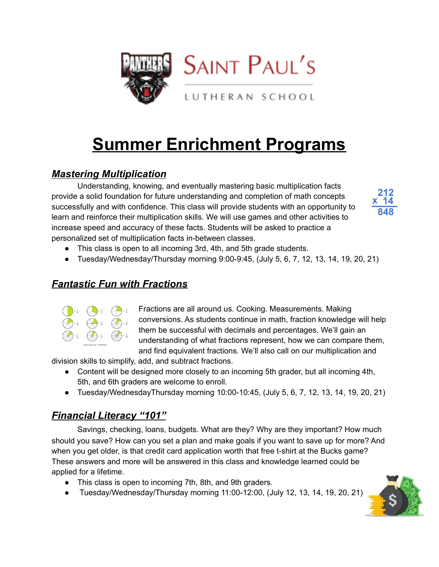

# **Summer Enrichment Programs**

# *Mastering Multiplication*

Understanding, knowing, and eventually mastering basic multiplication facts provide a solid foundation for future understanding and completion of math concepts successfully and with confidence. This class will provide students with an opportunity to learn and reinforce their multiplication skills. We will use games and other activities to increase speed and accuracy of these facts. Students will be asked to practice a personalized set of multiplication facts in-between classes.



- This class is open to all incoming 3rd, 4th, and 5th grade students.
- Tuesday/Wednesday/Thursday morning  $9:00-9:45$ , (July 5, 6, 7, 12, 13, 14, 19, 20, 21)

## *Fantastic Fun with Fractions*



Fractions are all around us. Cooking. Measurements. Making conversions. As students continue in math, fraction knowledge will help them be successful with decimals and percentages. We'll gain an understanding of what fractions represent, how we can compare them, and find equivalent fractions. We'll also call on our multiplication and

division skills to simplify, add, and subtract fractions.

- Content will be designed more closely to an incoming 5th grader, but all incoming 4th, 5th, and 6th graders are welcome to enroll.
- Tuesday/WednesdayThursday morning  $10:00-10:45$ , (July 5, 6, 7, 12, 13, 14, 19, 20, 21)

# *Financial Literacy "101"*

Savings, checking, loans, budgets. What are they? Why are they important? How much should you save? How can you set a plan and make goals if you want to save up for more? And when you get older, is that credit card application worth that free t-shirt at the Bucks game? These answers and more will be answered in this class and knowledge learned could be applied for a lifetime.

- This class is open to incoming 7th, 8th, and 9th graders.
- Tuesday/Wednesday/Thursday morning 11:00-12:00, (July 12, 13, 14, 19, 20, 21)

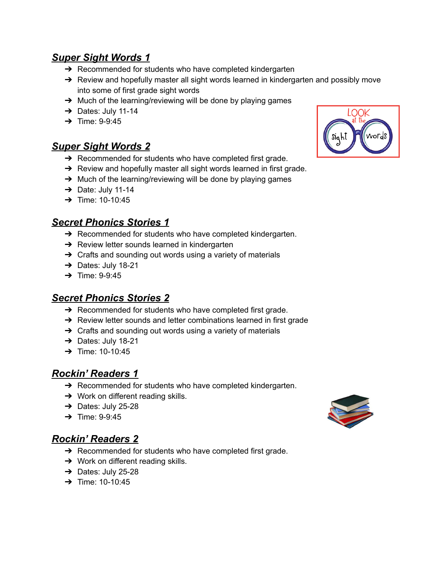#### *Super Sight Words 1*

- **→** Recommended for students who have completed kindergarten
- $\rightarrow$  Review and hopefully master all sight words learned in kindergarten and possibly move into some of first grade sight words
- → Much of the learning/reviewing will be done by playing games
- $\rightarrow$  Dates: July 11-14
- $\rightarrow$  Time: 9-9:45

#### *Super Sight Words 2*

- $\rightarrow$  Recommended for students who have completed first grade.
- → Review and hopefully master all sight words learned in first grade.
- $\rightarrow$  Much of the learning/reviewing will be done by playing games
- $\rightarrow$  Date: July 11-14
- $\rightarrow$  Time: 10-10:45

## *Secret Phonics Stories 1*

- $\rightarrow$  Recommended for students who have completed kindergarten.
- **→** Review letter sounds learned in kindergarten
- $\rightarrow$  Crafts and sounding out words using a variety of materials
- ➔ Dates: July 18-21
- $\rightarrow$  Time: 9-9:45

#### *Secret Phonics Stories 2*

- $\rightarrow$  Recommended for students who have completed first grade.
- → Review letter sounds and letter combinations learned in first grade
- **→** Crafts and sounding out words using a variety of materials
- → Dates: July 18-21
- $\rightarrow$  Time: 10-10:45

## *Rockin' Readers 1*

- → Recommended for students who have completed kindergarten.
- $\rightarrow$  Work on different reading skills.
- $\rightarrow$  Dates: July 25-28
- $\rightarrow$  Time: 9-9:45

## *Rockin' Readers 2*

- $\rightarrow$  Recommended for students who have completed first grade.
- $\rightarrow$  Work on different reading skills.
- $\rightarrow$  Dates: July 25-28
- $\rightarrow$  Time: 10-10:45



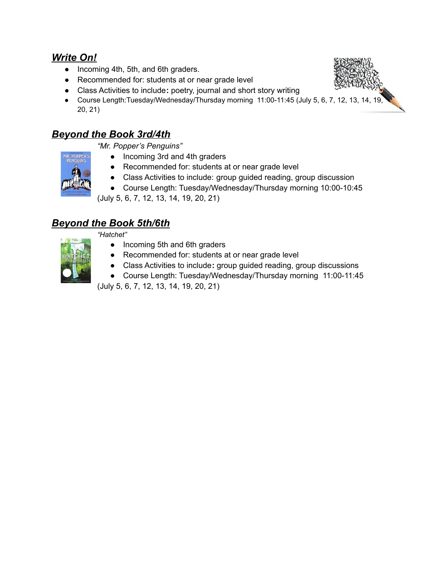#### *Write On!*

- Incoming 4th, 5th, and 6th graders.
- Recommended for: students at or near grade level
- **●** Class Activities to include**:** poetry, journal and short story writing
- Course Length:Tuesday/Wednesday/Thursday morning 11:00-11:45 (July 5, 6, 7, 12, 13, 14, 19, 20, 21)

## *Beyond the Book 3rd/4th*

*"Mr. Popper's Penguins"*

- Incoming 3rd and 4th graders
- **●** Recommended for: students at or near grade level
- **●** Class Activities to include: group guided reading, group discussion
- Course Length: Tuesday/Wednesday/Thursday morning 10:00-10:45

(July 5, 6, 7, 12, 13, 14, 19, 20, 21)

# *Beyond the Book 5th/6th*

*"Hatchet"*



- Incoming 5th and 6th graders
- Recommended for: students at or near grade level
- *●* Class Activities to include**:** group guided reading, group discussions
- Course Length: Tuesday/Wednesday/Thursday morning 11:00-11:45

(July 5, 6, 7, 12, 13, 14, 19, 20, 21)